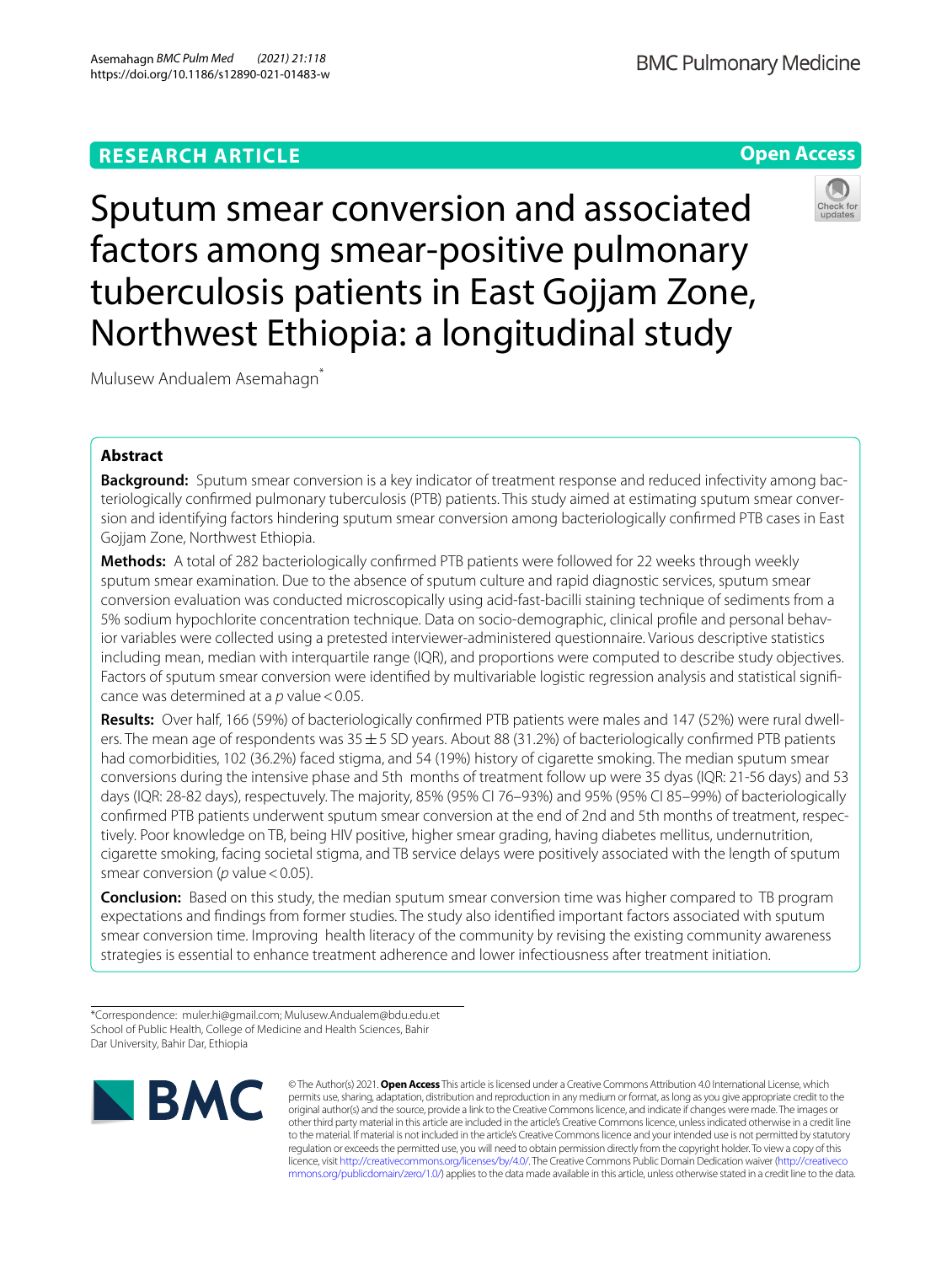Sputum smear conversion and associated factors among smear-positive pulmonary tuberculosis patients in East Gojjam Zone, Northwest Ethiopia: a longitudinal study

Mulusew Andualem Asemahagn\*

# **Abstract**

**Background:** Sputum smear conversion is a key indicator of treatment response and reduced infectivity among bacteriologically confrmed pulmonary tuberculosis (PTB) patients. This study aimed at estimating sputum smear conversion and identifying factors hindering sputum smear conversion among bacteriologically confrmed PTB cases in East Gojjam Zone, Northwest Ethiopia.

**Methods:** A total of 282 bacteriologically confrmed PTB patients were followed for 22 weeks through weekly sputum smear examination. Due to the absence of sputum culture and rapid diagnostic services, sputum smear conversion evaluation was conducted microscopically using acid-fast-bacilli staining technique of sediments from a 5% sodium hypochlorite concentration technique. Data on socio-demographic, clinical profle and personal behavior variables were collected using a pretested interviewer-administered questionnaire. Various descriptive statistics including mean, median with interquartile range (IQR), and proportions were computed to describe study objectives. Factors of sputum smear conversion were identifed by multivariable logistic regression analysis and statistical signifcance was determined at a p value < 0.05.

**Results:** Over half, 166 (59%) of bacteriologically confrmed PTB patients were males and 147 (52%) were rural dwellers. The mean age of respondents was  $35 \pm 5$  SD years. About 88 (31.2%) of bacteriologically confirmed PTB patients had comorbidities, 102 (36.2%) faced stigma, and 54 (19%) history of cigarette smoking. The median sputum smear conversions during the intensive phase and 5th months of treatment follow up were 35 dyas (IQR: 21-56 days) and 53 days (IQR: 28-82 days), respectuvely. The majority, 85% (95% CI 76–93%) and 95% (95% CI 85–99%) of bacteriologically confrmed PTB patients underwent sputum smear conversion at the end of 2nd and 5th months of treatment, respectively. Poor knowledge on TB, being HIV positive, higher smear grading, having diabetes mellitus, undernutrition, cigarette smoking, facing societal stigma, and TB service delays were positively associated with the length of sputum smear conversion (*p* value < 0.05).

**Conclusion:** Based on this study, the median sputum smear conversion time was higher compared to TB program expectations and fndings from former studies. The study also identifed important factors associated with sputum smear conversion time. Improving health literacy of the community by revising the existing community awareness strategies is essential to enhance treatment adherence and lower infectiousness after treatment initiation.

<sup>\*</sup>Correspondence: muler.hi@gmail.com; Mulusew.Andualem@bdu.edu.et School of Public Health, College of Medicine and Health Sciences, Bahir Dar University, Bahir Dar, Ethiopia



© The Author(s) 2021. **Open Access** This article is licensed under a Creative Commons Attribution 4.0 International License, which permits use, sharing, adaptation, distribution and reproduction in any medium or format, as long as you give appropriate credit to the original author(s) and the source, provide a link to the Creative Commons licence, and indicate if changes were made. The images or other third party material in this article are included in the article's Creative Commons licence, unless indicated otherwise in a credit line to the material. If material is not included in the article's Creative Commons licence and your intended use is not permitted by statutory regulation or exceeds the permitted use, you will need to obtain permission directly from the copyright holder. To view a copy of this licence, visit [http://creativecommons.org/licenses/by/4.0/.](http://creativecommons.org/licenses/by/4.0/) The Creative Commons Public Domain Dedication waiver ([http://creativeco](http://creativecommons.org/publicdomain/zero/1.0/) [mmons.org/publicdomain/zero/1.0/](http://creativecommons.org/publicdomain/zero/1.0/)) applies to the data made available in this article, unless otherwise stated in a credit line to the data.



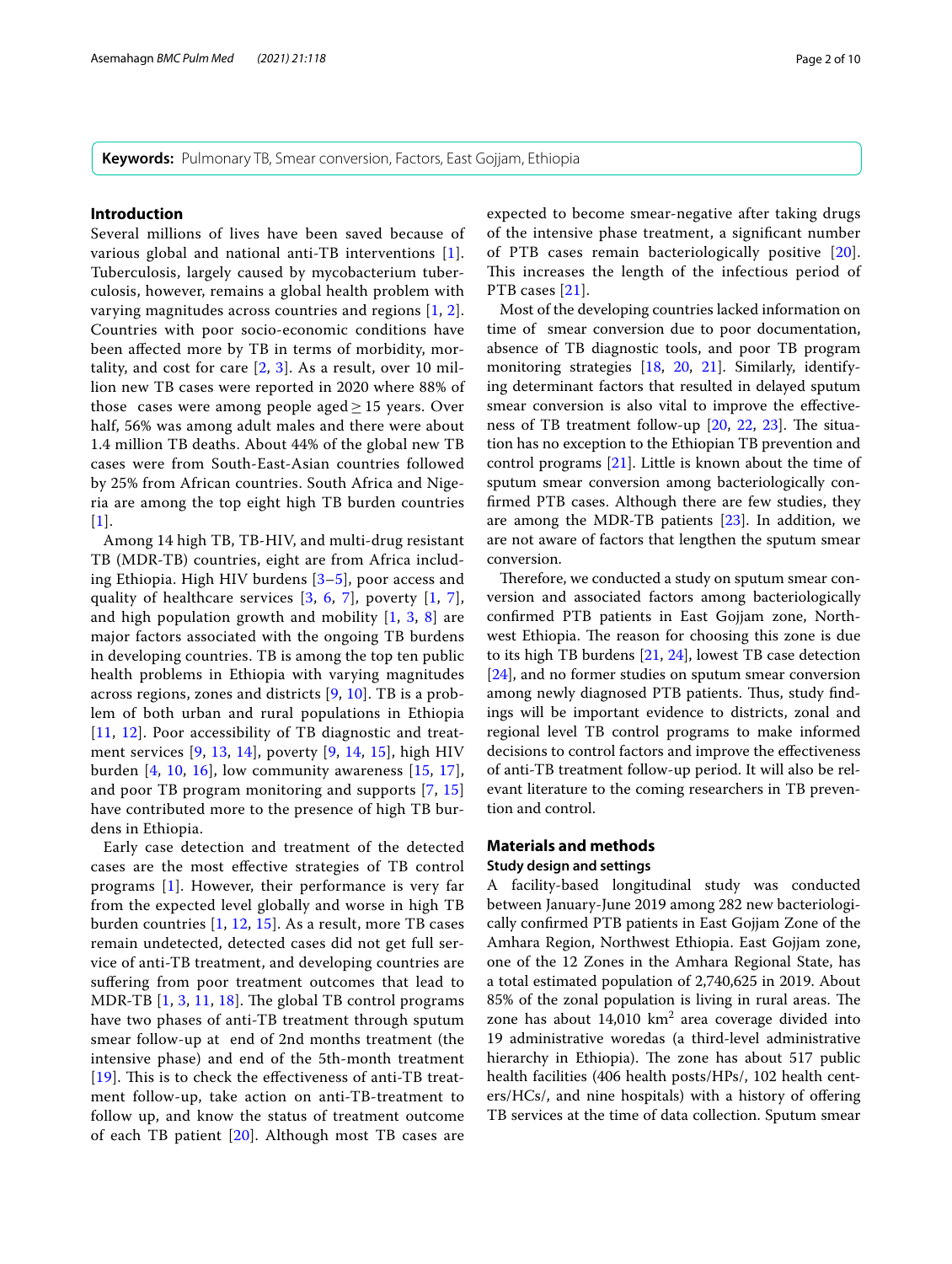**Keywords:** Pulmonary TB, Smear conversion, Factors, East Gojjam, Ethiopia

# **Introduction**

Several millions of lives have been saved because of various global and national anti-TB interventions [[1\]](#page-8-0). Tuberculosis, largely caused by mycobacterium tuberculosis, however, remains a global health problem with varying magnitudes across countries and regions [[1,](#page-8-0) [2\]](#page-8-1). Countries with poor socio-economic conditions have been afected more by TB in terms of morbidity, mortality, and cost for care  $[2, 3]$  $[2, 3]$  $[2, 3]$  $[2, 3]$ . As a result, over 10 million new TB cases were reported in 2020 where 88% of those cases were among people aged  $\geq$  15 years. Over half, 56% was among adult males and there were about 1.4 million TB deaths. About 44% of the global new TB cases were from South-East-Asian countries followed by 25% from African countries. South Africa and Nigeria are among the top eight high TB burden countries  $[1]$  $[1]$  $[1]$ .

Among 14 high TB, TB-HIV, and multi-drug resistant TB (MDR-TB) countries, eight are from Africa including Ethiopia. High HIV burdens [\[3–](#page-8-2)[5\]](#page-8-3), poor access and quality of healthcare services [[3](#page-8-2), [6,](#page-8-4) [7](#page-8-5)], poverty [\[1](#page-8-0), [7\]](#page-8-5), and high population growth and mobility [\[1](#page-8-0), [3,](#page-8-2) [8\]](#page-8-6) are major factors associated with the ongoing TB burdens in developing countries. TB is among the top ten public health problems in Ethiopia with varying magnitudes across regions, zones and districts [[9,](#page-8-7) [10\]](#page-8-8). TB is a problem of both urban and rural populations in Ethiopia [[11](#page-8-9), [12](#page-8-10)]. Poor accessibility of TB diagnostic and treatment services [[9,](#page-8-7) [13](#page-8-11), [14\]](#page-8-12), poverty [\[9](#page-8-7), [14](#page-8-12), [15\]](#page-8-13), high HIV burden  $[4, 10, 16]$  $[4, 10, 16]$  $[4, 10, 16]$  $[4, 10, 16]$  $[4, 10, 16]$  $[4, 10, 16]$  $[4, 10, 16]$ , low community awareness  $[15, 17]$  $[15, 17]$  $[15, 17]$  $[15, 17]$ , and poor TB program monitoring and supports [[7,](#page-8-5) [15](#page-8-13)] have contributed more to the presence of high TB burdens in Ethiopia.

Early case detection and treatment of the detected cases are the most efective strategies of TB control programs [[1\]](#page-8-0). However, their performance is very far from the expected level globally and worse in high TB burden countries [[1,](#page-8-0) [12](#page-8-10), [15](#page-8-13)]. As a result, more TB cases remain undetected, detected cases did not get full service of anti-TB treatment, and developing countries are sufering from poor treatment outcomes that lead to MDR-TB  $[1, 3, 11, 18]$  $[1, 3, 11, 18]$  $[1, 3, 11, 18]$  $[1, 3, 11, 18]$  $[1, 3, 11, 18]$  $[1, 3, 11, 18]$  $[1, 3, 11, 18]$ . The global TB control programs have two phases of anti-TB treatment through sputum smear follow-up at end of 2nd months treatment (the intensive phase) and end of the 5th-month treatment [[19](#page-8-18)]. This is to check the effectiveness of anti-TB treatment follow-up, take action on anti-TB-treatment to follow up, and know the status of treatment outcome of each TB patient [\[20](#page-8-19)]. Although most TB cases are expected to become smear-negative after taking drugs of the intensive phase treatment, a signifcant number of PTB cases remain bacteriologically positive [[20](#page-8-19)]. This increases the length of the infectious period of PTB cases [\[21\]](#page-9-0).

Most of the developing countries lacked information on time of smear conversion due to poor documentation, absence of TB diagnostic tools, and poor TB program monitoring strategies [[18,](#page-8-17) [20](#page-8-19), [21\]](#page-9-0). Similarly, identifying determinant factors that resulted in delayed sputum smear conversion is also vital to improve the efectiveness of TB treatment follow-up  $[20, 22, 23]$  $[20, 22, 23]$  $[20, 22, 23]$  $[20, 22, 23]$  $[20, 22, 23]$  $[20, 22, 23]$ . The situation has no exception to the Ethiopian TB prevention and control programs [[21\]](#page-9-0). Little is known about the time of sputum smear conversion among bacteriologically confrmed PTB cases. Although there are few studies, they are among the MDR-TB patients [[23\]](#page-9-2). In addition, we are not aware of factors that lengthen the sputum smear conversion.

Therefore, we conducted a study on sputum smear conversion and associated factors among bacteriologically confrmed PTB patients in East Gojjam zone, Northwest Ethiopia. The reason for choosing this zone is due to its high TB burdens [\[21](#page-9-0), [24\]](#page-9-3), lowest TB case detection [[24\]](#page-9-3), and no former studies on sputum smear conversion among newly diagnosed PTB patients. Thus, study findings will be important evidence to districts, zonal and regional level TB control programs to make informed decisions to control factors and improve the effectiveness of anti-TB treatment follow-up period. It will also be relevant literature to the coming researchers in TB prevention and control.

# **Materials and methods**

# **Study design and settings**

A facility-based longitudinal study was conducted between January-June 2019 among 282 new bacteriologically confrmed PTB patients in East Gojjam Zone of the Amhara Region, Northwest Ethiopia. East Gojjam zone, one of the 12 Zones in the Amhara Regional State, has a total estimated population of 2,740,625 in 2019. About 85% of the zonal population is living in rural areas. The zone has about  $14,010 \text{ km}^2$  area coverage divided into 19 administrative woredas (a third-level administrative hierarchy in Ethiopia). The zone has about 517 public health facilities (406 health posts/HPs/, 102 health centers/HCs/, and nine hospitals) with a history of offering TB services at the time of data collection. Sputum smear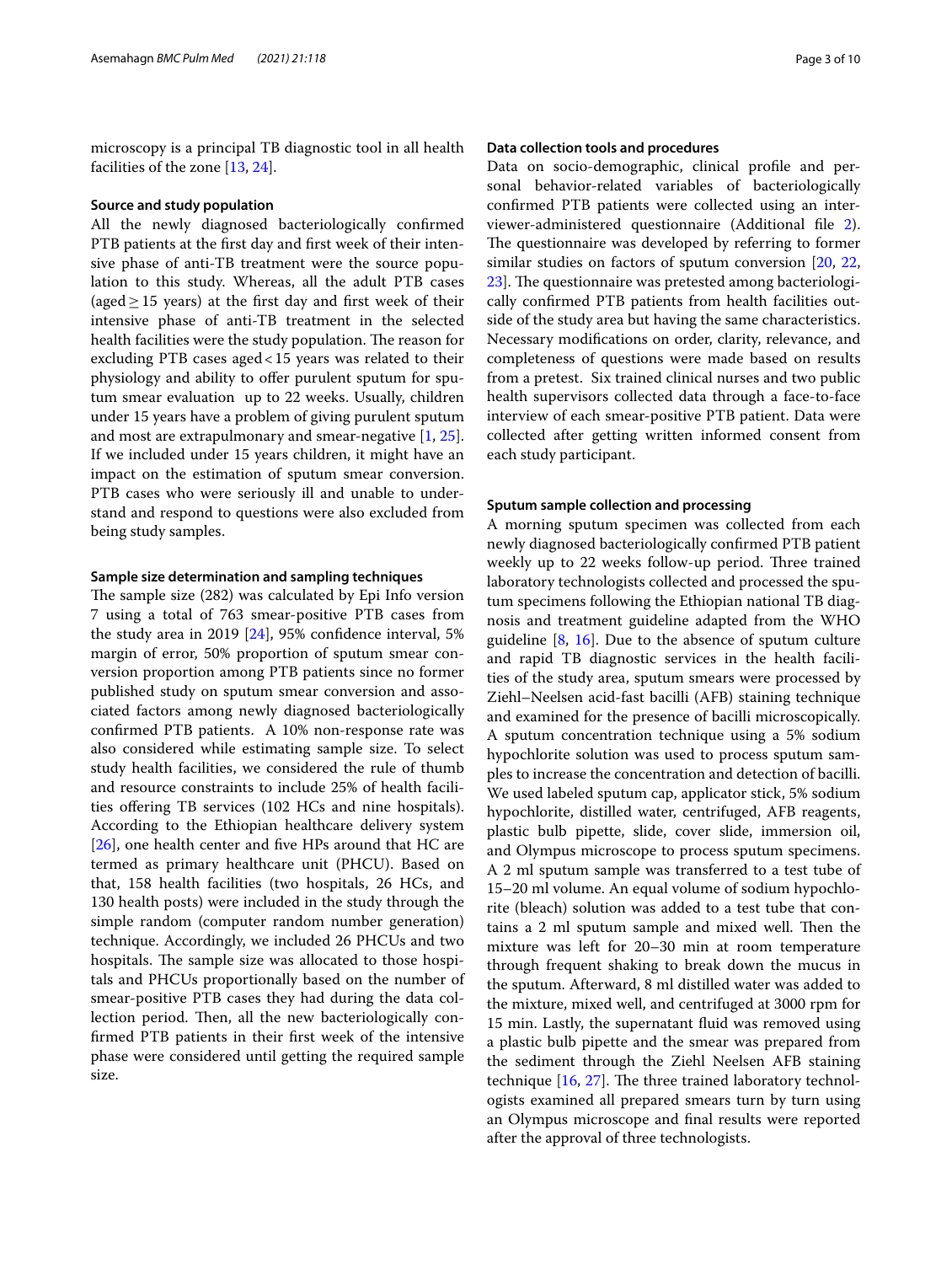microscopy is a principal TB diagnostic tool in all health facilities of the zone [[13](#page-8-11), [24\]](#page-9-3).

### **Source and study population**

All the newly diagnosed bacteriologically confrmed PTB patients at the frst day and frst week of their intensive phase of anti-TB treatment were the source population to this study. Whereas, all the adult PTB cases (aged  $\geq$  15 years) at the first day and first week of their intensive phase of anti-TB treatment in the selected health facilities were the study population. The reason for excluding PTB cases aged<15 years was related to their physiology and ability to offer purulent sputum for sputum smear evaluation up to 22 weeks. Usually, children under 15 years have a problem of giving purulent sputum and most are extrapulmonary and smear-negative [[1,](#page-8-0) [25](#page-9-4)]. If we included under 15 years children, it might have an impact on the estimation of sputum smear conversion. PTB cases who were seriously ill and unable to understand and respond to questions were also excluded from being study samples.

### **Sample size determination and sampling techniques**

The sample size (282) was calculated by Epi Info version 7 using a total of 763 smear-positive PTB cases from the study area in 2019 [[24\]](#page-9-3), 95% confdence interval, 5% margin of error, 50% proportion of sputum smear conversion proportion among PTB patients since no former published study on sputum smear conversion and associated factors among newly diagnosed bacteriologically confrmed PTB patients. A 10% non-response rate was also considered while estimating sample size. To select study health facilities, we considered the rule of thumb and resource constraints to include 25% of health facilities ofering TB services (102 HCs and nine hospitals). According to the Ethiopian healthcare delivery system [[26\]](#page-9-5), one health center and five HPs around that HC are termed as primary healthcare unit (PHCU). Based on that, 158 health facilities (two hospitals, 26 HCs, and 130 health posts) were included in the study through the simple random (computer random number generation) technique. Accordingly, we included 26 PHCUs and two hospitals. The sample size was allocated to those hospitals and PHCUs proportionally based on the number of smear-positive PTB cases they had during the data collection period. Then, all the new bacteriologically confrmed PTB patients in their frst week of the intensive phase were considered until getting the required sample size.

## **Data collection tools and procedures**

Data on socio-demographic, clinical profle and personal behavior-related variables of bacteriologically confrmed PTB patients were collected using an interviewer-administered questionnaire (Additional fle [2](#page-8-20)). The questionnaire was developed by referring to former similar studies on factors of sputum conversion [[20,](#page-8-19) [22](#page-9-1), 23. The questionnaire was pretested among bacteriologically confrmed PTB patients from health facilities outside of the study area but having the same characteristics. Necessary modifcations on order, clarity, relevance, and completeness of questions were made based on results from a pretest. Six trained clinical nurses and two public health supervisors collected data through a face-to-face interview of each smear-positive PTB patient. Data were collected after getting written informed consent from each study participant.

## **Sputum sample collection and processing**

A morning sputum specimen was collected from each newly diagnosed bacteriologically confrmed PTB patient weekly up to 22 weeks follow-up period. Three trained laboratory technologists collected and processed the sputum specimens following the Ethiopian national TB diagnosis and treatment guideline adapted from the WHO guideline  $[8, 16]$  $[8, 16]$  $[8, 16]$  $[8, 16]$ . Due to the absence of sputum culture and rapid TB diagnostic services in the health facilities of the study area, sputum smears were processed by Ziehl–Neelsen acid-fast bacilli (AFB) staining technique and examined for the presence of bacilli microscopically. A sputum concentration technique using a 5% sodium hypochlorite solution was used to process sputum samples to increase the concentration and detection of bacilli. We used labeled sputum cap, applicator stick, 5% sodium hypochlorite, distilled water, centrifuged, AFB reagents, plastic bulb pipette, slide, cover slide, immersion oil, and Olympus microscope to process sputum specimens. A 2 ml sputum sample was transferred to a test tube of 15–20 ml volume. An equal volume of sodium hypochlorite (bleach) solution was added to a test tube that contains a 2 ml sputum sample and mixed well. Then the mixture was left for 20–30 min at room temperature through frequent shaking to break down the mucus in the sputum. Afterward, 8 ml distilled water was added to the mixture, mixed well, and centrifuged at 3000 rpm for 15 min. Lastly, the supernatant fuid was removed using a plastic bulb pipette and the smear was prepared from the sediment through the Ziehl Neelsen AFB staining technique  $[16, 27]$  $[16, 27]$  $[16, 27]$  $[16, 27]$ . The three trained laboratory technologists examined all prepared smears turn by turn using an Olympus microscope and fnal results were reported after the approval of three technologists.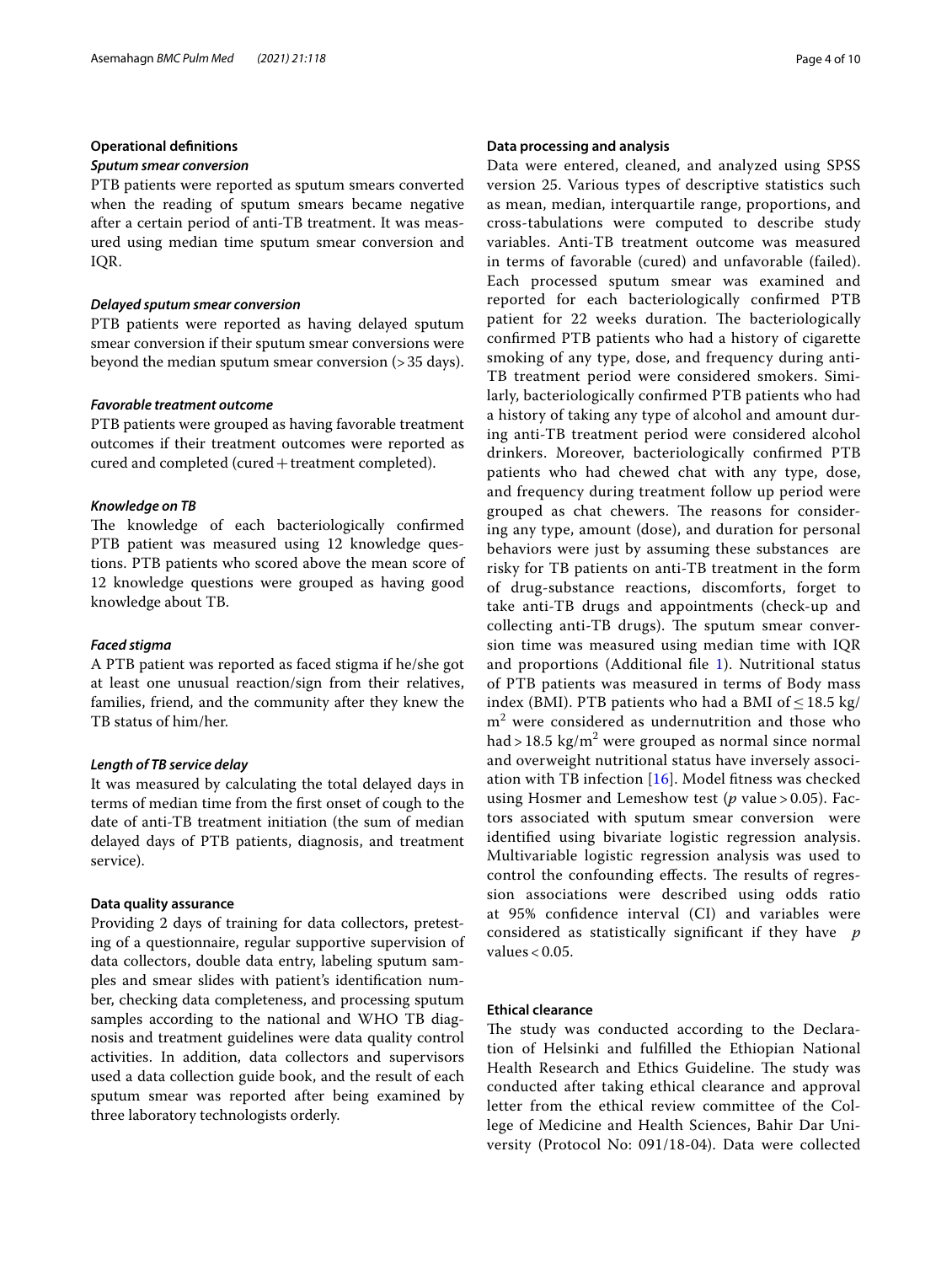# **Operational defnitions**

## *Sputum smear conversion*

PTB patients were reported as sputum smears converted when the reading of sputum smears became negative after a certain period of anti-TB treatment. It was measured using median time sputum smear conversion and IQR.

### *Delayed sputum smear conversion*

PTB patients were reported as having delayed sputum smear conversion if their sputum smear conversions were beyond the median sputum smear conversion (>35 days).

## *Favorable treatment outcome*

PTB patients were grouped as having favorable treatment outcomes if their treatment outcomes were reported as cured and completed (cured+treatment completed).

# *Knowledge on TB*

The knowledge of each bacteriologically confirmed PTB patient was measured using 12 knowledge questions. PTB patients who scored above the mean score of 12 knowledge questions were grouped as having good knowledge about TB.

### *Faced stigma*

A PTB patient was reported as faced stigma if he/she got at least one unusual reaction/sign from their relatives, families, friend, and the community after they knew the TB status of him/her.

## *Length of TB service delay*

It was measured by calculating the total delayed days in terms of median time from the frst onset of cough to the date of anti-TB treatment initiation (the sum of median delayed days of PTB patients, diagnosis, and treatment service).

## **Data quality assurance**

Providing 2 days of training for data collectors, pretesting of a questionnaire, regular supportive supervision of data collectors, double data entry, labeling sputum samples and smear slides with patient's identifcation number, checking data completeness, and processing sputum samples according to the national and WHO TB diagnosis and treatment guidelines were data quality control activities. In addition, data collectors and supervisors used a data collection guide book, and the result of each sputum smear was reported after being examined by three laboratory technologists orderly.

# **Data processing and analysis**

Data were entered, cleaned, and analyzed using SPSS version 25. Various types of descriptive statistics such as mean, median, interquartile range, proportions, and cross-tabulations were computed to describe study variables. Anti-TB treatment outcome was measured in terms of favorable (cured) and unfavorable (failed). Each processed sputum smear was examined and reported for each bacteriologically confrmed PTB patient for 22 weeks duration. The bacteriologically confrmed PTB patients who had a history of cigarette smoking of any type, dose, and frequency during anti-TB treatment period were considered smokers. Similarly, bacteriologically confrmed PTB patients who had a history of taking any type of alcohol and amount during anti-TB treatment period were considered alcohol drinkers. Moreover, bacteriologically confrmed PTB patients who had chewed chat with any type, dose, and frequency during treatment follow up period were grouped as chat chewers. The reasons for considering any type, amount (dose), and duration for personal behaviors were just by assuming these substances are risky for TB patients on anti-TB treatment in the form of drug-substance reactions, discomforts, forget to take anti-TB drugs and appointments (check-up and collecting anti-TB drugs). The sputum smear conversion time was measured using median time with IQR and proportions (Additional fle [1\)](#page-8-21). Nutritional status of PTB patients was measured in terms of Body mass index (BMI). PTB patients who had a BMI of  $\leq$  18.5 kg/  $m<sup>2</sup>$  were considered as undernutrition and those who had > 18.5 kg/m<sup>2</sup> were grouped as normal since normal and overweight nutritional status have inversely association with TB infection [[16\]](#page-8-15). Model ftness was checked using Hosmer and Lemeshow test (*p* value > 0.05). Factors associated with sputum smear conversion were identifed using bivariate logistic regression analysis. Multivariable logistic regression analysis was used to control the confounding effects. The results of regression associations were described using odds ratio at 95% confdence interval (CI) and variables were considered as statistically signifcant if they have *p* values < 0.05.

# **Ethical clearance**

The study was conducted according to the Declaration of Helsinki and fulflled the Ethiopian National Health Research and Ethics Guideline. The study was conducted after taking ethical clearance and approval letter from the ethical review committee of the College of Medicine and Health Sciences, Bahir Dar University (Protocol No: 091/18-04). Data were collected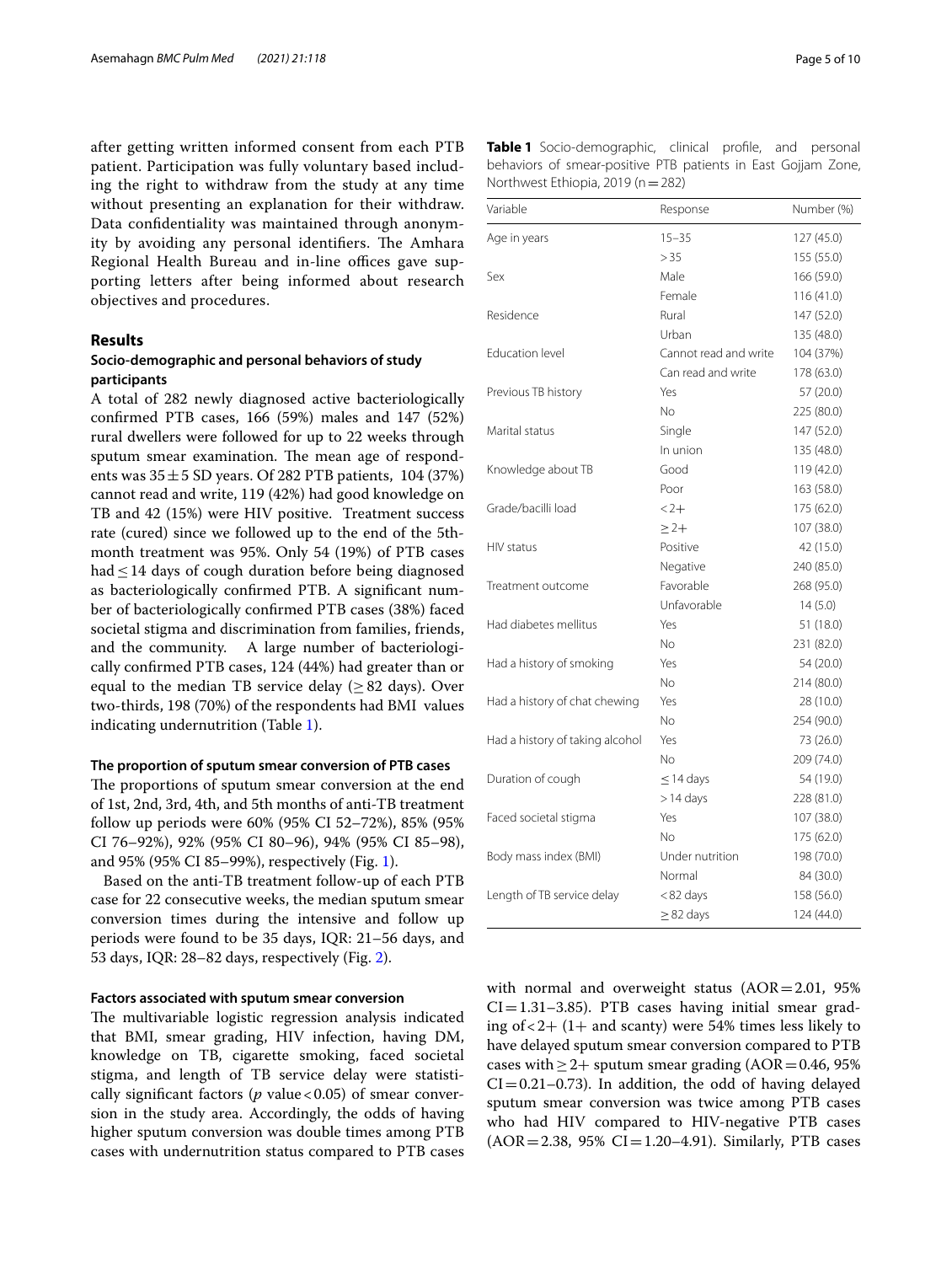after getting written informed consent from each PTB patient. Participation was fully voluntary based including the right to withdraw from the study at any time without presenting an explanation for their withdraw. Data confdentiality was maintained through anonymity by avoiding any personal identifiers. The Amhara Regional Health Bureau and in-line offices gave supporting letters after being informed about research objectives and procedures.

# **Results**

# **Socio‑demographic and personal behaviors of study participants**

A total of 282 newly diagnosed active bacteriologically confrmed PTB cases, 166 (59%) males and 147 (52%) rural dwellers were followed for up to 22 weeks through sputum smear examination. The mean age of respondents was  $35 \pm 5$  SD years. Of 282 PTB patients, 104 (37%) cannot read and write, 119 (42%) had good knowledge on TB and 42 (15%) were HIV positive. Treatment success rate (cured) since we followed up to the end of the 5thmonth treatment was 95%. Only 54 (19%) of PTB cases had≤14 days of cough duration before being diagnosed as bacteriologically confrmed PTB. A signifcant number of bacteriologically confrmed PTB cases (38%) faced societal stigma and discrimination from families, friends, and the community. A large number of bacteriologically confrmed PTB cases, 124 (44%) had greater than or equal to the median TB service delay ( $\geq 82$  days). Over two-thirds, 198 (70%) of the respondents had BMI values indicating undernutrition (Table [1](#page-4-0)).

## **The proportion of sputum smear conversion of PTB cases**

The proportions of sputum smear conversion at the end of 1st, 2nd, 3rd, 4th, and 5th months of anti-TB treatment follow up periods were 60% (95% CI 52–72%), 85% (95% CI 76–92%), 92% (95% CI 80–96), 94% (95% CI 85–98), and 95% (95% CI 85–99%), respectively (Fig. [1\)](#page-5-0).

Based on the anti-TB treatment follow-up of each PTB case for 22 consecutive weeks, the median sputum smear conversion times during the intensive and follow up periods were found to be 35 days, IQR: 21–56 days, and 53 days, IQR: 28–82 days, respectively (Fig. [2\)](#page-5-1).

### **Factors associated with sputum smear conversion**

The multivariable logistic regression analysis indicated that BMI, smear grading, HIV infection, having DM, knowledge on TB, cigarette smoking, faced societal stigma, and length of TB service delay were statistically significant factors ( $p$  value < 0.05) of smear conversion in the study area. Accordingly, the odds of having higher sputum conversion was double times among PTB cases with undernutrition status compared to PTB cases

| Page 5 of 10 |  |  |  |
|--------------|--|--|--|
|--------------|--|--|--|

<span id="page-4-0"></span>

| Table 1 Socio-demographic, clinical profile, and personal     |  |  |  |
|---------------------------------------------------------------|--|--|--|
| behaviors of smear-positive PTB patients in East Gojjam Zone, |  |  |  |
| Northwest Ethiopia, 2019 (n = 282)                            |  |  |  |

| Variable                        | Response              | Number (%) |
|---------------------------------|-----------------------|------------|
| Age in years                    | $15 - 35$             | 127 (45.0) |
|                                 | > 35                  | 155 (55.0) |
| Sex                             | Male                  | 166 (59.0) |
|                                 | Female                | 116 (41.0) |
| Residence                       | Rural                 | 147 (52.0) |
|                                 | Urban                 | 135 (48.0) |
| <b>Education level</b>          | Cannot read and write | 104 (37%)  |
|                                 | Can read and write    | 178 (63.0) |
| Previous TB history             | Yes                   | 57 (20.0)  |
|                                 | No                    | 225 (80.0) |
| Marital status                  | Single                | 147 (52.0) |
|                                 | In union              | 135 (48.0) |
| Knowledge about TB              | Good                  | 119 (42.0) |
|                                 | Poor                  | 163 (58.0) |
| Grade/bacilli load              | $2 +$                 | 175 (62.0) |
|                                 | $\geq$ 2+             | 107 (38.0) |
| HIV status                      | Positive              | 42 (15.0)  |
|                                 | Negative              | 240 (85.0) |
| Treatment outcome               | Favorable             | 268 (95.0) |
|                                 | Unfavorable           | 14(5.0)    |
| Had diabetes mellitus           | Yes                   | 51 (18.0)  |
|                                 | No                    | 231 (82.0) |
| Had a history of smoking        | Yes                   | 54 (20.0)  |
|                                 | No                    | 214 (80.0) |
| Had a history of chat chewing   | Yes                   | 28 (10.0)  |
|                                 | No                    | 254 (90.0) |
| Had a history of taking alcohol | Yes                   | 73 (26.0)  |
|                                 | No                    | 209 (74.0) |
| Duration of cough               | $\leq$ 14 days        | 54 (19.0)  |
|                                 | $> 14$ days           | 228 (81.0) |
| Faced societal stigma           | Yes                   | 107 (38.0) |
|                                 | No                    | 175 (62.0) |
| Body mass index (BMI)           | Under nutrition       | 198 (70.0) |
|                                 | Normal                | 84 (30.0)  |
| Length of TB service delay      | $< 82$ days           | 158 (56.0) |
|                                 | $\geq$ 82 days        | 124 (44.0) |

with normal and overweight status  $(AOR = 2.01, 95\%)$  $CI = 1.31 - 3.85$ ). PTB cases having initial smear grading of  $<$  2+ (1+ and scanty) were 54% times less likely to have delayed sputum smear conversion compared to PTB cases with  $>2+$  sputum smear grading (AOR = 0.46, 95%)  $CI = 0.21 - 0.73$ ). In addition, the odd of having delayed sputum smear conversion was twice among PTB cases who had HIV compared to HIV-negative PTB cases  $(AOR = 2.38, 95\% CI = 1.20 - 4.91)$ . Similarly, PTB cases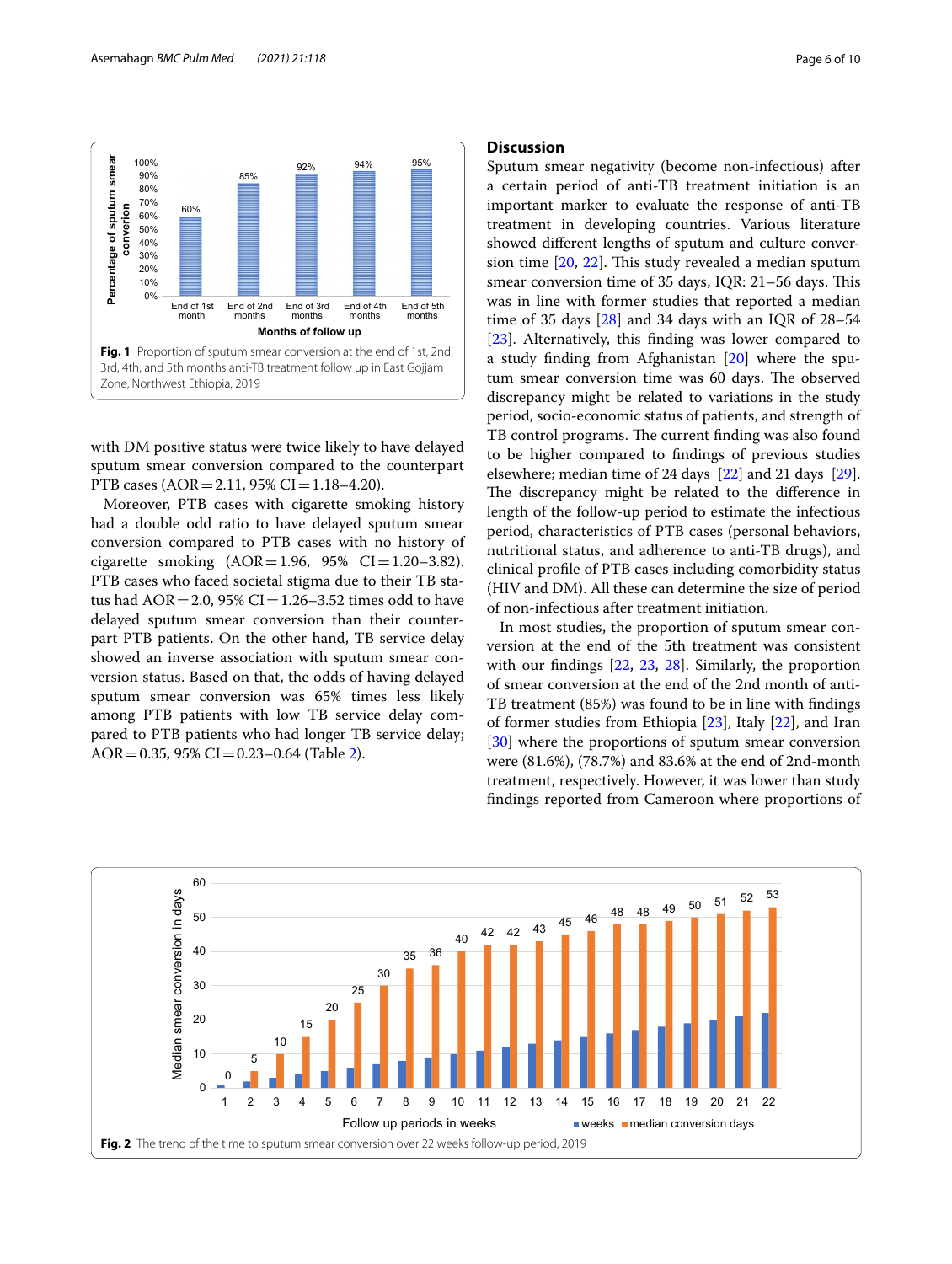

<span id="page-5-0"></span>with DM positive status were twice likely to have delayed sputum smear conversion compared to the counterpart PTB cases ( $AOR = 2.11$ , 95% CI = 1.18–4.20).

Moreover, PTB cases with cigarette smoking history had a double odd ratio to have delayed sputum smear conversion compared to PTB cases with no history of cigarette smoking  $(AOR = 1.96, 95\% \text{ CI} = 1.20 - 3.82)$ . PTB cases who faced societal stigma due to their TB status had  $AOR = 2.0$ , 95%  $CI = 1.26 - 3.52$  times odd to have delayed sputum smear conversion than their counterpart PTB patients. On the other hand, TB service delay showed an inverse association with sputum smear conversion status. Based on that, the odds of having delayed sputum smear conversion was 65% times less likely among PTB patients with low TB service delay compared to PTB patients who had longer TB service delay; AOR = 0.35, 95% CI = 0.23–0.64 (Table [2](#page-6-0)).

# **Discussion**

Sputum smear negativity (become non-infectious) after a certain period of anti-TB treatment initiation is an important marker to evaluate the response of anti-TB treatment in developing countries. Various literature showed diferent lengths of sputum and culture conversion time  $[20, 22]$  $[20, 22]$  $[20, 22]$  $[20, 22]$ . This study revealed a median sputum smear conversion time of 35 days, IOR: 21–56 days. This was in line with former studies that reported a median time of 35 days  $[28]$  and 34 days with an IQR of 28–54 [[23\]](#page-9-2). Alternatively, this finding was lower compared to a study fnding from Afghanistan [[20\]](#page-8-19) where the sputum smear conversion time was 60 days. The observed discrepancy might be related to variations in the study period, socio-economic status of patients, and strength of TB control programs. The current finding was also found to be higher compared to fndings of previous studies elsewhere; median time of 24 days [\[22](#page-9-1)] and 21 days [\[29](#page-9-8)]. The discrepancy might be related to the difference in length of the follow-up period to estimate the infectious period, characteristics of PTB cases (personal behaviors, nutritional status, and adherence to anti-TB drugs), and clinical profle of PTB cases including comorbidity status (HIV and DM). All these can determine the size of period of non-infectious after treatment initiation.

In most studies, the proportion of sputum smear conversion at the end of the 5th treatment was consistent with our fndings [\[22](#page-9-1), [23](#page-9-2), [28\]](#page-9-7). Similarly, the proportion of smear conversion at the end of the 2nd month of anti-TB treatment (85%) was found to be in line with fndings of former studies from Ethiopia [\[23](#page-9-2)], Italy [[22\]](#page-9-1), and Iran [[30\]](#page-9-9) where the proportions of sputum smear conversion were (81.6%), (78.7%) and 83.6% at the end of 2nd-month treatment, respectively. However, it was lower than study fndings reported from Cameroon where proportions of

<span id="page-5-1"></span>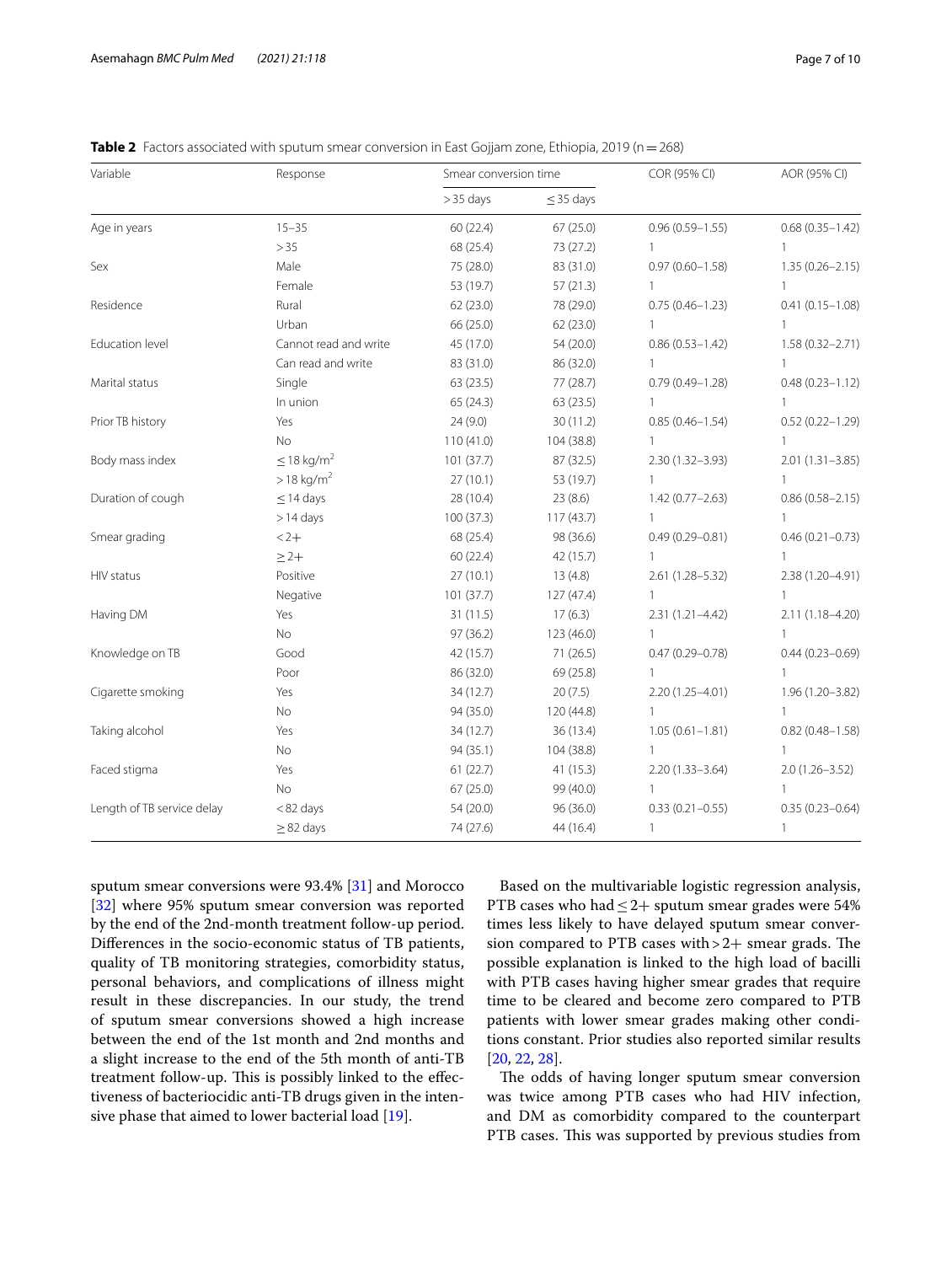| Variable                   | Response                    |            | Smear conversion time |                     | AOR (95% CI)        |  |
|----------------------------|-----------------------------|------------|-----------------------|---------------------|---------------------|--|
|                            |                             | $>35$ days | $\leq$ 35 days        |                     |                     |  |
| Age in years               | $15 - 35$                   | 60(22.4)   | 67(25.0)              | $0.96(0.59 - 1.55)$ | $0.68(0.35 - 1.42)$ |  |
|                            | >35                         | 68 (25.4)  | 73 (27.2)             | $\mathbf{1}$        | $\mathbf{1}$        |  |
| Sex                        | Male                        | 75 (28.0)  | 83 (31.0)             | $0.97(0.60 - 1.58)$ | $1.35(0.26 - 2.15)$ |  |
|                            | Female                      | 53 (19.7)  | 57(21.3)              | 1                   | $\mathbf{1}$        |  |
| Residence                  | Rural                       | 62(23.0)   | 78 (29.0)             | $0.75(0.46 - 1.23)$ | $0.41(0.15 - 1.08)$ |  |
|                            | Urban                       | 66 (25.0)  | 62 (23.0)             | $\mathbf{1}$        | $\mathbf{1}$        |  |
| Education level            | Cannot read and write       | 45 (17.0)  | 54 (20.0)             | $0.86(0.53 - 1.42)$ | $1.58(0.32 - 2.71)$ |  |
|                            | Can read and write          | 83 (31.0)  | 86 (32.0)             | $\mathbf{1}$        | 1                   |  |
| Marital status             | Single                      | 63(23.5)   | 77 (28.7)             | $0.79(0.49 - 1.28)$ | $0.48(0.23 - 1.12)$ |  |
|                            | In union                    | 65(24.3)   | 63 (23.5)             | $\mathbf{1}$        | $\mathbf{1}$        |  |
| Prior TB history           | Yes                         | 24(9.0)    | 30 (11.2)             | $0.85(0.46 - 1.54)$ | $0.52(0.22 - 1.29)$ |  |
|                            | <b>No</b>                   | 110(41.0)  | 104 (38.8)            |                     | $\mathbf{1}$        |  |
| Body mass index            | $\leq$ 18 kg/m <sup>2</sup> | 101(37.7)  | 87 (32.5)             | 2.30 (1.32-3.93)    | $2.01(1.31 - 3.85)$ |  |
|                            | $> 18 \text{ kg/m}^2$       | 27(10.1)   | 53 (19.7)             |                     | 1                   |  |
| Duration of cough          | $\leq$ 14 days              | 28 (10.4)  | 23 (8.6)              | $1.42(0.77 - 2.63)$ | $0.86(0.58 - 2.15)$ |  |
|                            | $>14$ days                  | 100 (37.3) | 117(43.7)             |                     | 1                   |  |
| Smear grading              | $2 +$                       | 68 (25.4)  | 98 (36.6)             | $0.49(0.29 - 0.81)$ | $0.46(0.21 - 0.73)$ |  |
|                            | $\geq$ 2+                   | 60(22.4)   | 42 (15.7)             | $\mathbf{1}$        | 1                   |  |
| HIV status                 | Positive                    | 27(10.1)   | 13(4.8)               | 2.61 (1.28-5.32)    | 2.38 (1.20-4.91)    |  |
|                            | Negative                    | 101 (37.7) | 127 (47.4)            | $\mathbf{1}$        | $\mathbf{1}$        |  |
| Having DM                  | Yes                         | 31(11.5)   | 17(6.3)               | $2.31(1.21 - 4.42)$ | 2.11 (1.18-4.20)    |  |
|                            | No                          | 97 (36.2)  | 123 (46.0)            | $\mathbf{1}$        | $\mathbf{1}$        |  |
| Knowledge on TB            | Good                        | 42 (15.7)  | 71 (26.5)             | $0.47(0.29 - 0.78)$ | $0.44(0.23 - 0.69)$ |  |
|                            | Poor                        | 86 (32.0)  | 69 (25.8)             | $\mathbf{1}$        | 1                   |  |
| Cigarette smoking          | Yes                         | 34 (12.7)  | 20(7.5)               | 2.20 (1.25-4.01)    | 1.96 (1.20-3.82)    |  |
|                            | No                          | 94 (35.0)  | 120 (44.8)            | $\mathbf{1}$        | 1                   |  |
| Taking alcohol             | Yes                         | 34 (12.7)  | 36 (13.4)             | $1.05(0.61 - 1.81)$ | $0.82(0.48 - 1.58)$ |  |
|                            | No                          | 94 (35.1)  | 104 (38.8)            | $\mathbf{1}$        | $\mathbf{1}$        |  |
| Faced stigma               | Yes                         | 61(22.7)   | 41(15.3)              | $2.20(1.33 - 3.64)$ | $2.0(1.26 - 3.52)$  |  |
|                            | No                          | 67(25.0)   | 99 (40.0)             | $\mathbf{1}$        | 1                   |  |
| Length of TB service delay | <82 days                    | 54 (20.0)  | 96 (36.0)             | $0.33(0.21 - 0.55)$ | $0.35(0.23 - 0.64)$ |  |
|                            | $\geq$ 82 days              | 74 (27.6)  | 44 (16.4)             | $\mathbf{1}$        | 1                   |  |

<span id="page-6-0"></span>**Table 2** Factors associated with sputum smear conversion in East Gojjam zone, Ethiopia, 2019 (n = 268)

sputum smear conversions were 93.4% [\[31](#page-9-10)] and Morocco [[32\]](#page-9-11) where 95% sputum smear conversion was reported by the end of the 2nd-month treatment follow-up period. Diferences in the socio-economic status of TB patients, quality of TB monitoring strategies, comorbidity status, personal behaviors, and complications of illness might result in these discrepancies. In our study, the trend of sputum smear conversions showed a high increase between the end of the 1st month and 2nd months and a slight increase to the end of the 5th month of anti-TB treatment follow-up. This is possibly linked to the effectiveness of bacteriocidic anti-TB drugs given in the intensive phase that aimed to lower bacterial load [[19\]](#page-8-18).

Based on the multivariable logistic regression analysis, PTB cases who had  $\leq$  2+ sputum smear grades were 54% times less likely to have delayed sputum smear conversion compared to PTB cases with  $>2+$  smear grads. The possible explanation is linked to the high load of bacilli with PTB cases having higher smear grades that require time to be cleared and become zero compared to PTB patients with lower smear grades making other conditions constant. Prior studies also reported similar results [[20,](#page-8-19) [22](#page-9-1), [28\]](#page-9-7).

The odds of having longer sputum smear conversion was twice among PTB cases who had HIV infection, and DM as comorbidity compared to the counterpart PTB cases. This was supported by previous studies from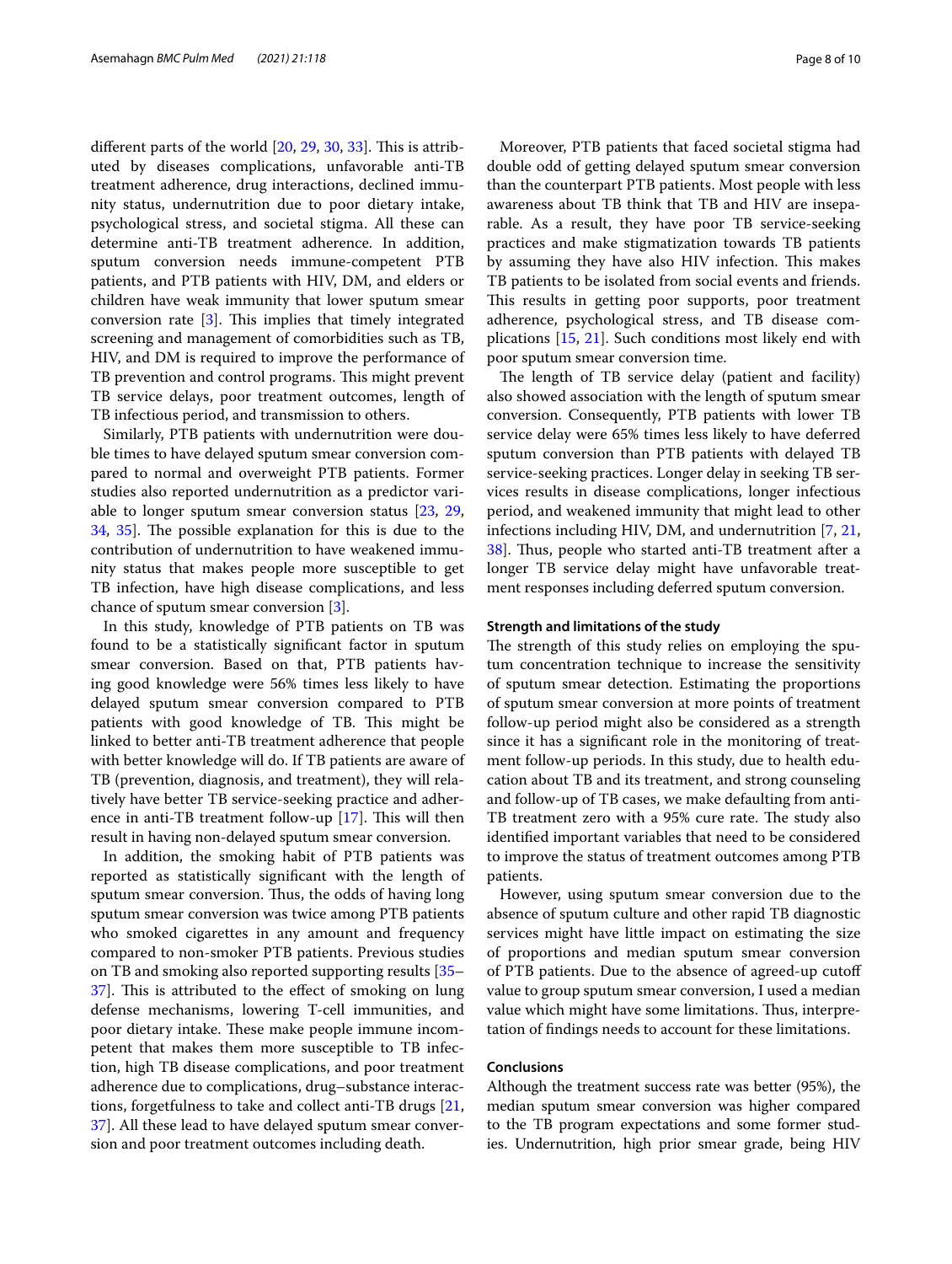different parts of the world  $[20, 29, 30, 33]$  $[20, 29, 30, 33]$  $[20, 29, 30, 33]$  $[20, 29, 30, 33]$  $[20, 29, 30, 33]$  $[20, 29, 30, 33]$  $[20, 29, 30, 33]$ . This is attributed by diseases complications, unfavorable anti-TB treatment adherence, drug interactions, declined immunity status, undernutrition due to poor dietary intake, psychological stress, and societal stigma. All these can determine anti-TB treatment adherence. In addition, sputum conversion needs immune-competent PTB patients, and PTB patients with HIV, DM, and elders or children have weak immunity that lower sputum smear conversion rate  $[3]$  $[3]$ . This implies that timely integrated screening and management of comorbidities such as TB, HIV, and DM is required to improve the performance of TB prevention and control programs. This might prevent TB service delays, poor treatment outcomes, length of TB infectious period, and transmission to others.

Similarly, PTB patients with undernutrition were double times to have delayed sputum smear conversion compared to normal and overweight PTB patients. Former studies also reported undernutrition as a predictor variable to longer sputum smear conversion status [[23](#page-9-2), [29](#page-9-8), [34,](#page-9-13) [35\]](#page-9-14). The possible explanation for this is due to the contribution of undernutrition to have weakened immunity status that makes people more susceptible to get TB infection, have high disease complications, and less chance of sputum smear conversion [[3](#page-8-2)].

In this study, knowledge of PTB patients on TB was found to be a statistically signifcant factor in sputum smear conversion. Based on that, PTB patients having good knowledge were 56% times less likely to have delayed sputum smear conversion compared to PTB patients with good knowledge of TB. This might be linked to better anti-TB treatment adherence that people with better knowledge will do. If TB patients are aware of TB (prevention, diagnosis, and treatment), they will relatively have better TB service-seeking practice and adherence in anti-TB treatment follow-up  $[17]$  $[17]$  $[17]$ . This will then result in having non-delayed sputum smear conversion.

In addition, the smoking habit of PTB patients was reported as statistically signifcant with the length of sputum smear conversion. Thus, the odds of having long sputum smear conversion was twice among PTB patients who smoked cigarettes in any amount and frequency compared to non-smoker PTB patients. Previous studies on TB and smoking also reported supporting results [[35–](#page-9-14) [37\]](#page-9-15). This is attributed to the effect of smoking on lung defense mechanisms, lowering T-cell immunities, and poor dietary intake. These make people immune incompetent that makes them more susceptible to TB infection, high TB disease complications, and poor treatment adherence due to complications, drug–substance interactions, forgetfulness to take and collect anti-TB drugs [\[21](#page-9-0), [37\]](#page-9-15). All these lead to have delayed sputum smear conversion and poor treatment outcomes including death.

Moreover, PTB patients that faced societal stigma had double odd of getting delayed sputum smear conversion than the counterpart PTB patients. Most people with less awareness about TB think that TB and HIV are inseparable. As a result, they have poor TB service-seeking practices and make stigmatization towards TB patients by assuming they have also HIV infection. This makes TB patients to be isolated from social events and friends. This results in getting poor supports, poor treatment adherence, psychological stress, and TB disease complications [[15,](#page-8-13) [21\]](#page-9-0). Such conditions most likely end with poor sputum smear conversion time.

The length of TB service delay (patient and facility) also showed association with the length of sputum smear conversion. Consequently, PTB patients with lower TB service delay were 65% times less likely to have deferred sputum conversion than PTB patients with delayed TB service-seeking practices. Longer delay in seeking TB services results in disease complications, longer infectious period, and weakened immunity that might lead to other infections including HIV, DM, and undernutrition [[7,](#page-8-5) [21](#page-9-0), [38\]](#page-9-16). Thus, people who started anti-TB treatment after a longer TB service delay might have unfavorable treatment responses including deferred sputum conversion.

## **Strength and limitations of the study**

The strength of this study relies on employing the sputum concentration technique to increase the sensitivity of sputum smear detection. Estimating the proportions of sputum smear conversion at more points of treatment follow-up period might also be considered as a strength since it has a signifcant role in the monitoring of treatment follow-up periods. In this study, due to health education about TB and its treatment, and strong counseling and follow-up of TB cases, we make defaulting from anti-TB treatment zero with a 95% cure rate. The study also identifed important variables that need to be considered to improve the status of treatment outcomes among PTB patients.

However, using sputum smear conversion due to the absence of sputum culture and other rapid TB diagnostic services might have little impact on estimating the size of proportions and median sputum smear conversion of PTB patients. Due to the absence of agreed-up cutof value to group sputum smear conversion, I used a median value which might have some limitations. Thus, interpretation of fndings needs to account for these limitations.

# **Conclusions**

Although the treatment success rate was better (95%), the median sputum smear conversion was higher compared to the TB program expectations and some former studies. Undernutrition, high prior smear grade, being HIV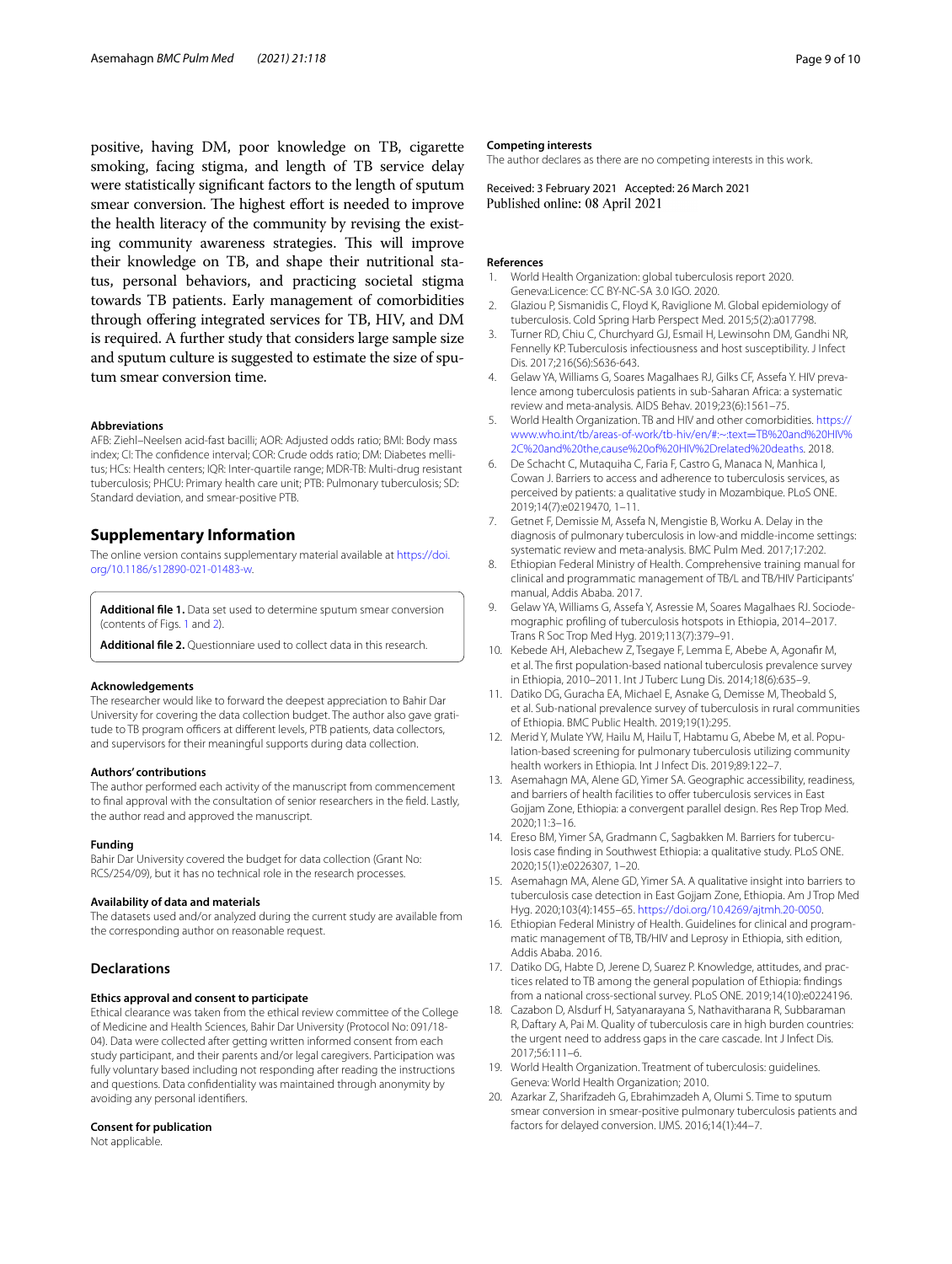positive, having DM, poor knowledge on TB, cigarette smoking, facing stigma, and length of TB service delay were statistically signifcant factors to the length of sputum smear conversion. The highest effort is needed to improve the health literacy of the community by revising the existing community awareness strategies. This will improve their knowledge on TB, and shape their nutritional status, personal behaviors, and practicing societal stigma towards TB patients. Early management of comorbidities through ofering integrated services for TB, HIV, and DM is required. A further study that considers large sample size and sputum culture is suggested to estimate the size of sputum smear conversion time.

#### **Abbreviations**

AFB: Ziehl–Neelsen acid-fast bacilli; AOR: Adjusted odds ratio; BMI: Body mass index; CI: The confdence interval; COR: Crude odds ratio; DM: Diabetes mellitus; HCs: Health centers; IQR: Inter-quartile range; MDR-TB: Multi-drug resistant tuberculosis; PHCU: Primary health care unit; PTB: Pulmonary tuberculosis; SD: Standard deviation, and smear-positive PTB.

# **Supplementary Information**

The online version contains supplementary material available at [https://doi.](https://doi.org/10.1186/s12890-021-01483-w) [org/10.1186/s12890-021-01483-w.](https://doi.org/10.1186/s12890-021-01483-w)

<span id="page-8-21"></span>**Additional fle 1.** Data set used to determine sputum smear conversion (contents of Figs. [1](#page-5-0) and [2\)](#page-5-1).

**Additional fle 2.** Questionniare used to collect data in this research.

#### **Acknowledgements**

The researcher would like to forward the deepest appreciation to Bahir Dar University for covering the data collection budget. The author also gave gratitude to TB program officers at different levels, PTB patients, data collectors, and supervisors for their meaningful supports during data collection.

#### **Authors' contributions**

The author performed each activity of the manuscript from commencement to fnal approval with the consultation of senior researchers in the feld. Lastly, the author read and approved the manuscript.

#### **Funding**

Bahir Dar University covered the budget for data collection (Grant No: RCS/254/09), but it has no technical role in the research processes.

#### **Availability of data and materials**

The datasets used and/or analyzed during the current study are available from the corresponding author on reasonable request.

### **Declarations**

#### **Ethics approval and consent to participate**

Ethical clearance was taken from the ethical review committee of the College of Medicine and Health Sciences, Bahir Dar University (Protocol No: 091/18- 04). Data were collected after getting written informed consent from each study participant, and their parents and/or legal caregivers. Participation was fully voluntary based including not responding after reading the instructions and questions. Data confdentiality was maintained through anonymity by avoiding any personal identifers.

#### **Consent for publication**

Not applicable.

#### **Competing interests**

The author declares as there are no competing interests in this work.

Received: 3 February 2021 Accepted: 26 March 2021

# **References**

- <span id="page-8-0"></span>World Health Organization: global tuberculosis report 2020. Geneva:Licence: CC BY-NC-SA 3.0 IGO. 2020.
- <span id="page-8-1"></span>2. Glaziou P, Sismanidis C, Floyd K, Raviglione M. Global epidemiology of tuberculosis. Cold Spring Harb Perspect Med. 2015;5(2):a017798.
- <span id="page-8-2"></span>3. Turner RD, Chiu C, Churchyard GJ, Esmail H, Lewinsohn DM, Gandhi NR, Fennelly KP. Tuberculosis infectiousness and host susceptibility. J Infect Dis. 2017;216(S6):S636-643.
- <span id="page-8-14"></span>4. Gelaw YA, Williams G, Soares Magalhaes RJ, Gilks CF, Assefa Y. HIV prevalence among tuberculosis patients in sub-Saharan Africa: a systematic review and meta-analysis. AIDS Behav. 2019;23(6):1561–75.
- <span id="page-8-3"></span>5. World Health Organization. TB and HIV and other comorbidities. [https://](https://www.who.int/tb/areas-of-work/tb-hiv/en/#:~:text=TB%20and%20HIV%2C%20and%20the,cause%20of%20HIV%2Drelated%20deaths) [www.who.int/tb/areas-of-work/tb-hiv/en/#:~:text](https://www.who.int/tb/areas-of-work/tb-hiv/en/#:~:text=TB%20and%20HIV%2C%20and%20the,cause%20of%20HIV%2Drelated%20deaths)=TB%20and%20HIV% [2C%20and%20the,cause%20of%20HIV%2Drelated%20deaths.](https://www.who.int/tb/areas-of-work/tb-hiv/en/#:~:text=TB%20and%20HIV%2C%20and%20the,cause%20of%20HIV%2Drelated%20deaths) 2018.
- <span id="page-8-4"></span>6. De Schacht C, Mutaquiha C, Faria F, Castro G, Manaca N, Manhica I, Cowan J. Barriers to access and adherence to tuberculosis services, as perceived by patients: a qualitative study in Mozambique. PLoS ONE. 2019;14(7):e0219470, 1–11.
- <span id="page-8-5"></span>Getnet F, Demissie M, Assefa N, Mengistie B, Worku A. Delay in the diagnosis of pulmonary tuberculosis in low-and middle-income settings: systematic review and meta-analysis. BMC Pulm Med. 2017;17:202.
- <span id="page-8-6"></span>8. Ethiopian Federal Ministry of Health. Comprehensive training manual for clinical and programmatic management of TB/L and TB/HIV Participants' manual, Addis Ababa. 2017.
- <span id="page-8-20"></span><span id="page-8-7"></span>9. Gelaw YA, Williams G, Assefa Y, Asressie M, Soares Magalhaes RJ. Sociodemographic profling of tuberculosis hotspots in Ethiopia, 2014–2017. Trans R Soc Trop Med Hyg. 2019;113(7):379–91.
- <span id="page-8-8"></span>10. Kebede AH, Alebachew Z, Tsegaye F, Lemma E, Abebe A, Agonafr M, et al. The frst population-based national tuberculosis prevalence survey in Ethiopia, 2010–2011. Int J Tuberc Lung Dis. 2014;18(6):635–9.
- <span id="page-8-9"></span>11. Datiko DG, Guracha EA, Michael E, Asnake G, Demisse M, Theobald S, et al. Sub-national prevalence survey of tuberculosis in rural communities of Ethiopia. BMC Public Health. 2019;19(1):295.
- <span id="page-8-10"></span>12. Merid Y, Mulate YW, Hailu M, Hailu T, Habtamu G, Abebe M, et al. Population-based screening for pulmonary tuberculosis utilizing community health workers in Ethiopia. Int J Infect Dis. 2019;89:122–7.
- <span id="page-8-11"></span>13. Asemahagn MA, Alene GD, Yimer SA. Geographic accessibility, readiness, and barriers of health facilities to offer tuberculosis services in East Gojjam Zone, Ethiopia: a convergent parallel design. Res Rep Trop Med. 2020;11:3–16.
- <span id="page-8-12"></span>14. Ereso BM, Yimer SA, Gradmann C, Sagbakken M. Barriers for tuberculosis case fnding in Southwest Ethiopia: a qualitative study. PLoS ONE. 2020;15(1):e0226307, 1–20.
- <span id="page-8-13"></span>15. Asemahagn MA, Alene GD, Yimer SA. A qualitative insight into barriers to tuberculosis case detection in East Gojjam Zone, Ethiopia. Am J Trop Med Hyg. 2020;103(4):1455–65.<https://doi.org/10.4269/ajtmh.20-0050>.
- <span id="page-8-15"></span>16. Ethiopian Federal Ministry of Health. Guidelines for clinical and programmatic management of TB, TB/HIV and Leprosy in Ethiopia, sith edition, Addis Ababa. 2016.
- <span id="page-8-16"></span>17. Datiko DG, Habte D, Jerene D, Suarez P. Knowledge, attitudes, and practices related to TB among the general population of Ethiopia: fndings from a national cross-sectional survey. PLoS ONE. 2019;14(10):e0224196.
- <span id="page-8-17"></span>18. Cazabon D, Alsdurf H, Satyanarayana S, Nathavitharana R, Subbaraman R, Daftary A, Pai M. Quality of tuberculosis care in high burden countries: the urgent need to address gaps in the care cascade. Int J Infect Dis. 2017;56:111–6.
- <span id="page-8-18"></span>19. World Health Organization. Treatment of tuberculosis: guidelines. Geneva: World Health Organization; 2010.
- <span id="page-8-19"></span>20. Azarkar Z, Sharifzadeh G, Ebrahimzadeh A, Olumi S. Time to sputum smear conversion in smear-positive pulmonary tuberculosis patients and factors for delayed conversion. IJMS. 2016;14(1):44–7.